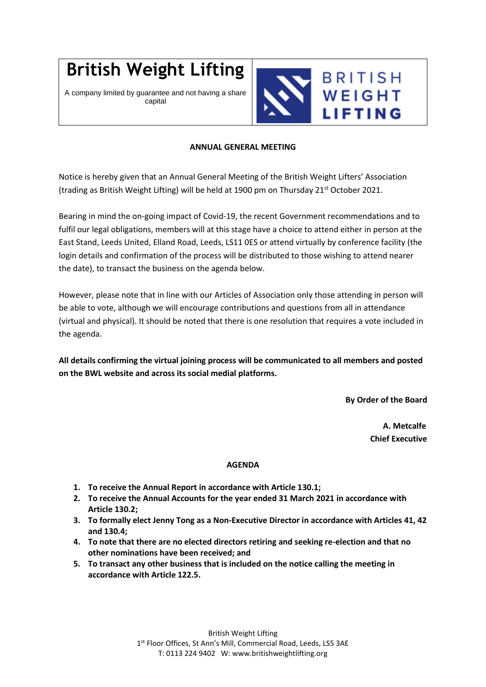## **British Weight Lifting**

A company limited by guarantee and not having a share capital



## **ANNUAL GENERAL MEETING**

Notice is hereby given that an Annual General Meeting of the British Weight Lifters' Association (trading as British Weight Lifting) will be held at 1900 pm on Thursday 21<sup>st</sup> October 2021.

Bearing in mind the on-going impact of Covid-19, the recent Government recommendations and to fulfil our legal obligations, members will at this stage have a choice to attend either in person at the East Stand, Leeds United, Elland Road, Leeds, LS11 0ES or attend virtually by conference facility (the login details and confirmation of the process will be distributed to those wishing to attend nearer the date), to transact the business on the agenda below.

However, please note that in line with our Articles of Association only those attending in person will be able to vote, although we will encourage contributions and questions from all in attendance (virtual and physical). It should be noted that there is one resolution that requires a vote included in the agenda.

**All details confirming the virtual joining process will be communicated to all members and posted on the BWL website and across its social medial platforms.**

**By Order of the Board**

**A. Metcalfe Chief Executive** 

## **AGENDA**

- **1. To receive the Annual Report in accordance with Article 130.1;**
- **2. To receive the Annual Accounts for the year ended 31 March 2021 in accordance with Article 130.2;**
- **3. To formally elect Jenny Tong as a Non-Executive Director in accordance with Articles 41, 42 and 130.4;**
- **4. To note that there are no elected directors retiring and seeking re-election and that no other nominations have been received; and**
- **5. To transact any other business that is included on the notice calling the meeting in accordance with Article 122.5.**